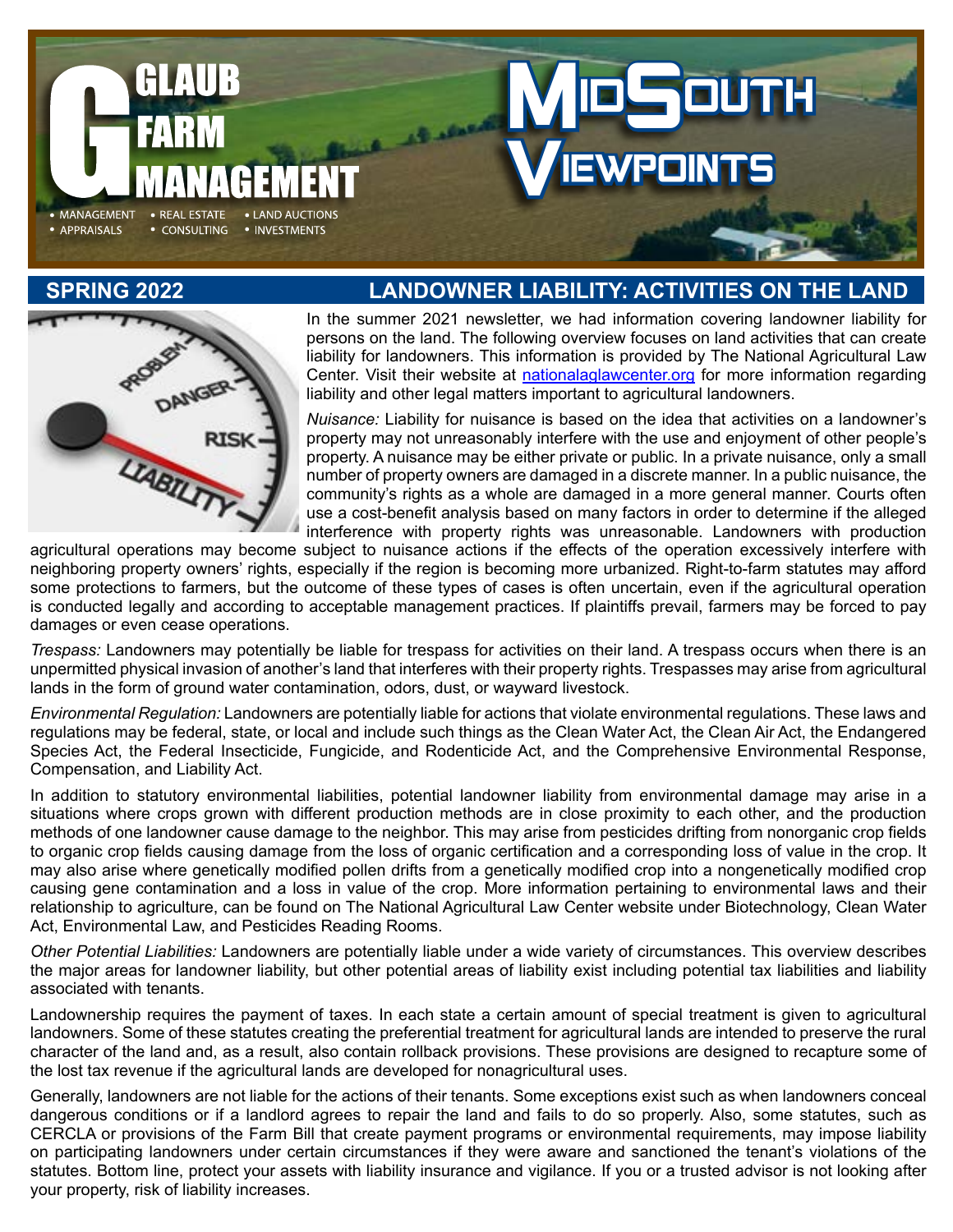

#### **SPRING 2022 LANDOWNER LIABILITY: ACTIVITIES ON THE LAND**



In the summer 2021 newsletter, we had information covering landowner liability for persons on the land. The following overview focuses on land activities that can create liability for landowners. This information is provided by The National Agricultural Law Center. Visit their website at [nationalaglawcenter.org](file:///S:/o/LAYOUTS/G/GLAUB%20FARM/2022/Spring%20Newsletter/Spring%202022/1.%20Landowners%20Liability/nationalaglawcenter.org) for more information regarding liability and other legal matters important to agricultural landowners.

*Nuisance:* Liability for nuisance is based on the idea that activities on a landowner's property may not unreasonably interfere with the use and enjoyment of other people's property. A nuisance may be either private or public. In a private nuisance, only a small number of property owners are damaged in a discrete manner. In a public nuisance, the community's rights as a whole are damaged in a more general manner. Courts often use a cost-benefit analysis based on many factors in order to determine if the alleged interference with property rights was unreasonable. Landowners with production

agricultural operations may become subject to nuisance actions if the effects of the operation excessively interfere with neighboring property owners' rights, especially if the region is becoming more urbanized. Right-to-farm statutes may afford some protections to farmers, but the outcome of these types of cases is often uncertain, even if the agricultural operation is conducted legally and according to acceptable management practices. If plaintiffs prevail, farmers may be forced to pay damages or even cease operations.

*Trespass:* Landowners may potentially be liable for trespass for activities on their land. A trespass occurs when there is an unpermitted physical invasion of another's land that interferes with their property rights. Trespasses may arise from agricultural lands in the form of ground water contamination, odors, dust, or wayward livestock.

*Environmental Regulation:* Landowners are potentially liable for actions that violate environmental regulations. These laws and regulations may be federal, state, or local and include such things as the Clean Water Act, the Clean Air Act, the Endangered Species Act, the Federal Insecticide, Fungicide, and Rodenticide Act, and the Comprehensive Environmental Response, Compensation, and Liability Act.

In addition to statutory environmental liabilities, potential landowner liability from environmental damage may arise in a situations where crops grown with different production methods are in close proximity to each other, and the production methods of one landowner cause damage to the neighbor. This may arise from pesticides drifting from nonorganic crop fields to organic crop fields causing damage from the loss of organic certification and a corresponding loss of value in the crop. It may also arise where genetically modified pollen drifts from a genetically modified crop into a nongenetically modified crop causing gene contamination and a loss in value of the crop. More information pertaining to environmental laws and their relationship to agriculture, can be found on The National Agricultural Law Center website under Biotechnology, Clean Water Act, Environmental Law, and Pesticides Reading Rooms.

*Other Potential Liabilities:* Landowners are potentially liable under a wide variety of circumstances. This overview describes the major areas for landowner liability, but other potential areas of liability exist including potential tax liabilities and liability associated with tenants.

Landownership requires the payment of taxes. In each state a certain amount of special treatment is given to agricultural landowners. Some of these statutes creating the preferential treatment for agricultural lands are intended to preserve the rural character of the land and, as a result, also contain rollback provisions. These provisions are designed to recapture some of the lost tax revenue if the agricultural lands are developed for nonagricultural uses.

Generally, landowners are not liable for the actions of their tenants. Some exceptions exist such as when landowners conceal dangerous conditions or if a landlord agrees to repair the land and fails to do so properly. Also, some statutes, such as CERCLA or provisions of the Farm Bill that create payment programs or environmental requirements, may impose liability on participating landowners under certain circumstances if they were aware and sanctioned the tenant's violations of the statutes. Bottom line, protect your assets with liability insurance and vigilance. If you or a trusted advisor is not looking after your property, risk of liability increases.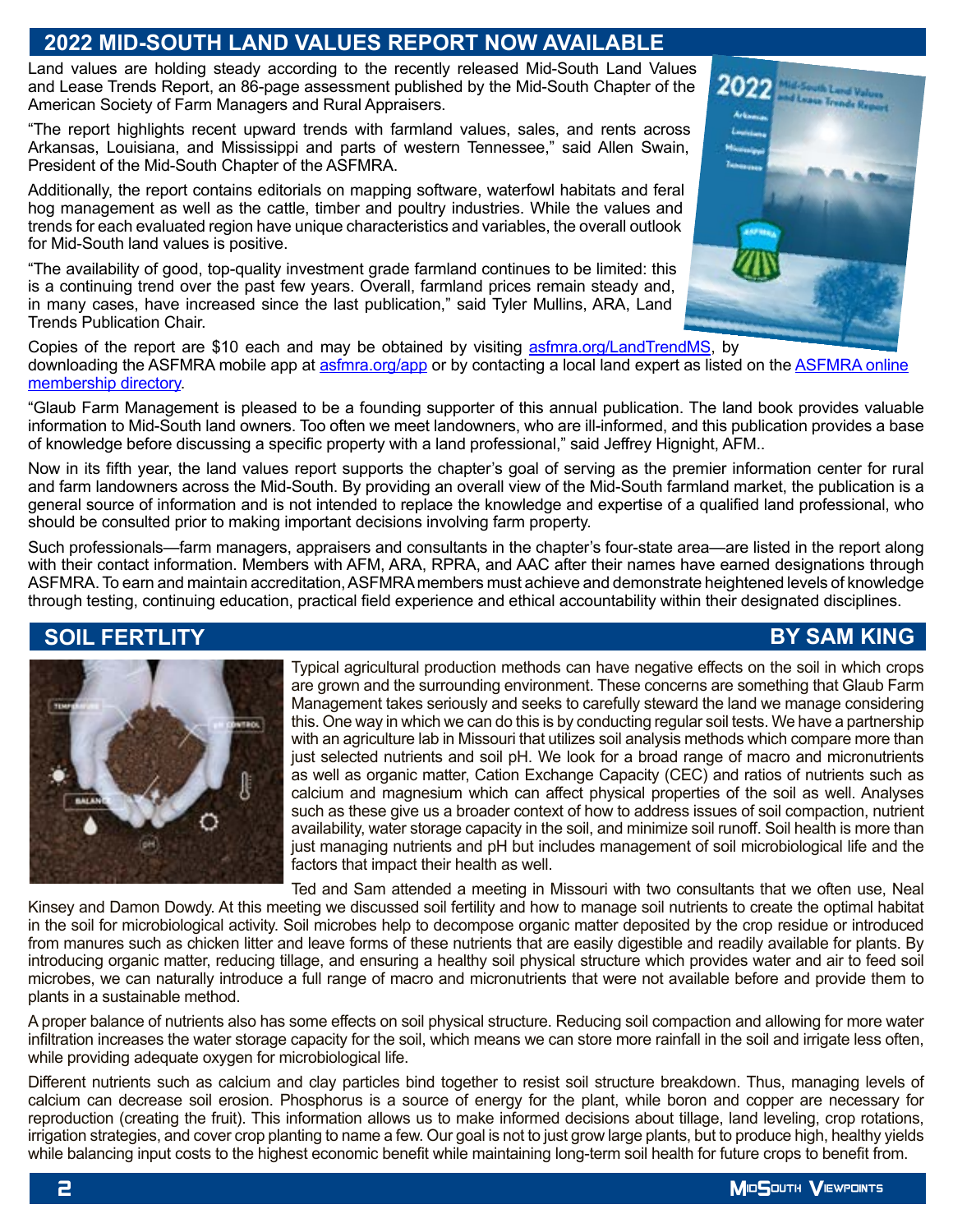## **2022 MID-SOUTH LAND VALUES REPORT NOW AVAILABLE**

Land values are holding steady according to the recently released Mid-South Land Values and Lease Trends Report, an 86-page assessment published by the Mid-South Chapter of the American Society of Farm Managers and Rural Appraisers.

"The report highlights recent upward trends with farmland values, sales, and rents across Arkansas, Louisiana, and Mississippi and parts of western Tennessee," said Allen Swain, President of the Mid-South Chapter of the ASFMRA.

Additionally, the report contains editorials on mapping software, waterfowl habitats and feral hog management as well as the cattle, timber and poultry industries. While the values and trends for each evaluated region have unique characteristics and variables, the overall outlook for Mid-South land values is positive.

"The availability of good, top-quality investment grade farmland continues to be limited: this is a continuing trend over the past few years. Overall, farmland prices remain steady and, in many cases, have increased since the last publication," said Tyler Mullins, ARA, Land Trends Publication Chair.



Copies of the report are \$10 each and may be obtained by visiting [asfmra.org/LandTrendMS,](https://www.asfmra.org/LandTrendMS) by downloading the ASFMRA mobile app at [asfmra.org/app](https://www.asfmra.org/app) or by contacting a local land expert as listed on the ASFMRA online [membership directory](https://www.asfmra.org/directory/find-experts2).

"Glaub Farm Management is pleased to be a founding supporter of this annual publication. The land book provides valuable information to Mid-South land owners. Too often we meet landowners, who are ill-informed, and this publication provides a base of knowledge before discussing a specific property with a land professional," said Jeffrey Hignight, AFM..

Now in its fifth year, the land values report supports the chapter's goal of serving as the premier information center for rural and farm landowners across the Mid-South. By providing an overall view of the Mid-South farmland market, the publication is a general source of information and is not intended to replace the knowledge and expertise of a qualified land professional, who should be consulted prior to making important decisions involving farm property.

Such professionals—farm managers, appraisers and consultants in the chapter's four-state area—are listed in the report along with their contact information. Members with AFM, ARA, RPRA, and AAC after their names have earned designations through ASFMRA. To earn and maintain accreditation, ASFMRA members must achieve and demonstrate heightened levels of knowledge through testing, continuing education, practical field experience and ethical accountability within their designated disciplines.

#### **SOIL FERTLITY**

## **BY SAM KING**



Typical agricultural production methods can have negative effects on the soil in which crops are grown and the surrounding environment. These concerns are something that Glaub Farm Management takes seriously and seeks to carefully steward the land we manage considering this. One way in which we can do this is by conducting regular soil tests. We have a partnership with an agriculture lab in Missouri that utilizes soil analysis methods which compare more than just selected nutrients and soil pH. We look for a broad range of macro and micronutrients as well as organic matter, Cation Exchange Capacity (CEC) and ratios of nutrients such as calcium and magnesium which can affect physical properties of the soil as well. Analyses such as these give us a broader context of how to address issues of soil compaction, nutrient availability, water storage capacity in the soil, and minimize soil runoff. Soil health is more than just managing nutrients and pH but includes management of soil microbiological life and the factors that impact their health as well.

Ted and Sam attended a meeting in Missouri with two consultants that we often use, Neal

Kinsey and Damon Dowdy. At this meeting we discussed soil fertility and how to manage soil nutrients to create the optimal habitat in the soil for microbiological activity. Soil microbes help to decompose organic matter deposited by the crop residue or introduced from manures such as chicken litter and leave forms of these nutrients that are easily digestible and readily available for plants. By introducing organic matter, reducing tillage, and ensuring a healthy soil physical structure which provides water and air to feed soil microbes, we can naturally introduce a full range of macro and micronutrients that were not available before and provide them to plants in a sustainable method.

A proper balance of nutrients also has some effects on soil physical structure. Reducing soil compaction and allowing for more water infiltration increases the water storage capacity for the soil, which means we can store more rainfall in the soil and irrigate less often, while providing adequate oxygen for microbiological life.

Different nutrients such as calcium and clay particles bind together to resist soil structure breakdown. Thus, managing levels of calcium can decrease soil erosion. Phosphorus is a source of energy for the plant, while boron and copper are necessary for reproduction (creating the fruit). This information allows us to make informed decisions about tillage, land leveling, crop rotations, irrigation strategies, and cover crop planting to name a few. Our goal is not to just grow large plants, but to produce high, healthy yields while balancing input costs to the highest economic benefit while maintaining long-term soil health for future crops to benefit from.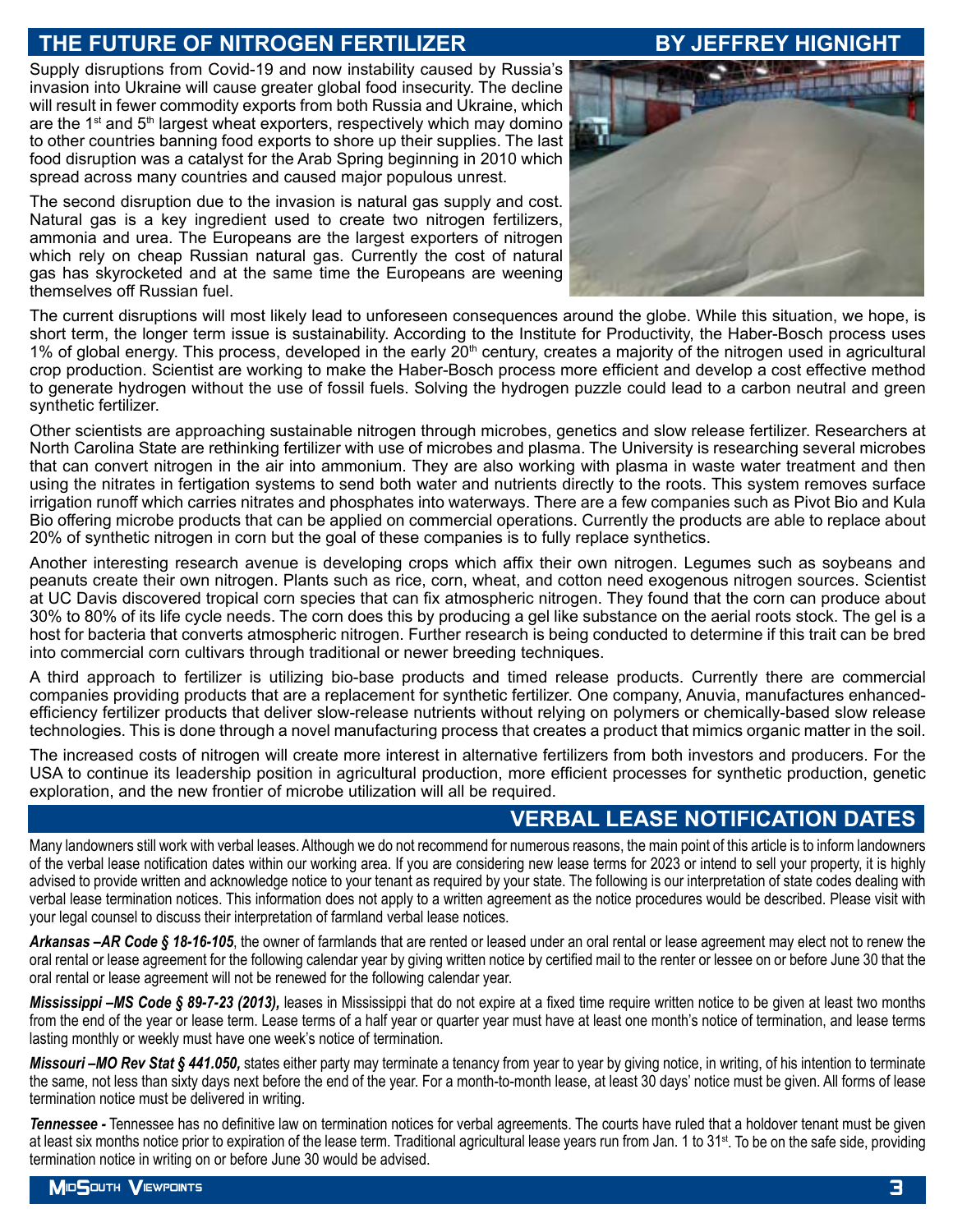## THE FUTURE OF NITROGEN FERTILIZER BY JEFFREY HIGNIGH

Supply disruptions from Covid-19 and now instability caused by Russia's invasion into Ukraine will cause greater global food insecurity. The decline will result in fewer commodity exports from both Russia and Ukraine, which are the  $1<sup>st</sup>$  and  $5<sup>th</sup>$  largest wheat exporters, respectively which may domino to other countries banning food exports to shore up their supplies. The last food disruption was a catalyst for the Arab Spring beginning in 2010 which spread across many countries and caused major populous unrest.

The second disruption due to the invasion is natural gas supply and cost. Natural gas is a key ingredient used to create two nitrogen fertilizers, ammonia and urea. The Europeans are the largest exporters of nitrogen which rely on cheap Russian natural gas. Currently the cost of natural gas has skyrocketed and at the same time the Europeans are weening themselves off Russian fuel.



The current disruptions will most likely lead to unforeseen consequences around the globe. While this situation, we hope, is short term, the longer term issue is sustainability. According to the Institute for Productivity, the Haber-Bosch process uses 1% of global energy. This process, developed in the early 20<sup>th</sup> century, creates a majority of the nitrogen used in agricultural crop production. Scientist are working to make the Haber-Bosch process more efficient and develop a cost effective method to generate hydrogen without the use of fossil fuels. Solving the hydrogen puzzle could lead to a carbon neutral and green synthetic fertilizer.

Other scientists are approaching sustainable nitrogen through microbes, genetics and slow release fertilizer. Researchers at North Carolina State are rethinking fertilizer with use of microbes and plasma. The University is researching several microbes that can convert nitrogen in the air into ammonium. They are also working with plasma in waste water treatment and then using the nitrates in fertigation systems to send both water and nutrients directly to the roots. This system removes surface irrigation runoff which carries nitrates and phosphates into waterways. There are a few companies such as Pivot Bio and Kula Bio offering microbe products that can be applied on commercial operations. Currently the products are able to replace about 20% of synthetic nitrogen in corn but the goal of these companies is to fully replace synthetics.

Another interesting research avenue is developing crops which affix their own nitrogen. Legumes such as soybeans and peanuts create their own nitrogen. Plants such as rice, corn, wheat, and cotton need exogenous nitrogen sources. Scientist at UC Davis discovered tropical corn species that can fix atmospheric nitrogen. They found that the corn can produce about 30% to 80% of its life cycle needs. The corn does this by producing a gel like substance on the aerial roots stock. The gel is a host for bacteria that converts atmospheric nitrogen. Further research is being conducted to determine if this trait can be bred into commercial corn cultivars through traditional or newer breeding techniques.

A third approach to fertilizer is utilizing bio-base products and timed release products. Currently there are commercial companies providing products that are a replacement for synthetic fertilizer. One company, Anuvia, manufactures enhancedefficiency fertilizer products that deliver slow-release nutrients without relying on polymers or chemically-based slow release technologies. This is done through a novel manufacturing process that creates a product that mimics organic matter in the soil.

The increased costs of nitrogen will create more interest in alternative fertilizers from both investors and producers. For the USA to continue its leadership position in agricultural production, more efficient processes for synthetic production, genetic exploration, and the new frontier of microbe utilization will all be required.

#### **VERBAL LEASE NOTIFICATION DATES**

Many landowners still work with verbal leases. Although we do not recommend for numerous reasons, the main point of this article is to inform landowners of the verbal lease notification dates within our working area. If you are considering new lease terms for 2023 or intend to sell your property, it is highly advised to provide written and acknowledge notice to your tenant as required by your state. The following is our interpretation of state codes dealing with verbal lease termination notices. This information does not apply to a written agreement as the notice procedures would be described. Please visit with your legal counsel to discuss their interpretation of farmland verbal lease notices.

Arkansas –AR Code § 18-16-105, the owner of farmlands that are rented or leased under an oral rental or lease agreement may elect not to renew the oral rental or lease agreement for the following calendar year by giving written notice by certified mail to the renter or lessee on or before June 30 that the oral rental or lease agreement will not be renewed for the following calendar year.

*Mississippi –MS Code § 89-7-23 (2013)*, leases in Mississippi that do not expire at a fixed time require written notice to be given at least two months from the end of the year or lease term. Lease terms of a half year or quarter year must have at least one month's notice of termination, and lease terms lasting monthly or weekly must have one week's notice of termination.

*Missouri –MO Rev Stat § 441.050*, states either party may terminate a tenancy from year to year by giving notice, in writing, of his intention to terminate the same, not less than sixty days next before the end of the year. For a month-to-month lease, at least 30 days' notice must be given. All forms of lease termination notice must be delivered in writing.

*Tennessee -* Tennessee has no definitive law on termination notices for verbal agreements. The courts have ruled that a holdover tenant must be given at least six months notice prior to expiration of the lease term. Traditional agricultural lease years run from Jan. 1 to 31st. To be on the safe side, providing termination notice in writing on or before June 30 would be advised.